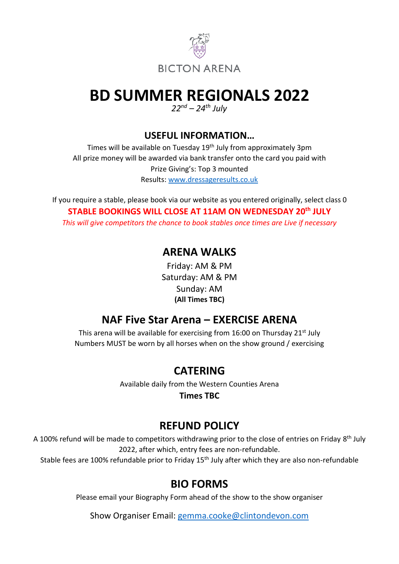

# **BD SUMMER REGIONALS 2022**

*22nd – 24th July* 

**USEFUL INFORMATION…**

Times will be available on Tuesday 19th July from approximately 3pm All prize money will be awarded via bank transfer onto the card you paid with Prize Giving's: Top 3 mounted Results: [www.dressageresults.co.uk](http://www.dressageresults.co.uk/)

If you require a stable, please book via our website as you entered originally, select class 0 **STABLE BOOKINGS WILL CLOSE AT 11AM ON WEDNESDAY 20th JULY** *This will give competitors the chance to book stables once times are Live if necessary* 

#### **ARENA WALKS**

Friday: AM & PM Saturday: AM & PM Sunday: AM **(All Times TBC)**

# **NAF Five Star Arena – EXERCISE ARENA**

This arena will be available for exercising from 16:00 on Thursday 21<sup>st</sup> July Numbers MUST be worn by all horses when on the show ground / exercising

## **CATERING**

Available daily from the Western Counties Arena

**Times TBC**

# **REFUND POLICY**

A 100% refund will be made to competitors withdrawing prior to the close of entries on Friday 8<sup>th</sup> July 2022, after which, entry fees are non-refundable.

Stable fees are 100% refundable prior to Friday 15<sup>th</sup> July after which they are also non-refundable

# **BIO FORMS**

Please email your Biography Form ahead of the show to the show organiser

Show Organiser Email: [gemma.cooke@clintondevon.com](mailto:gemma.cooke@clintondevon.com)